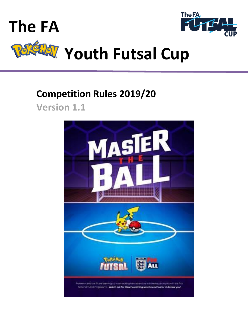



# **Youth Futsal Cup**

# **Competition Rules 2019/20 Version 1.1**

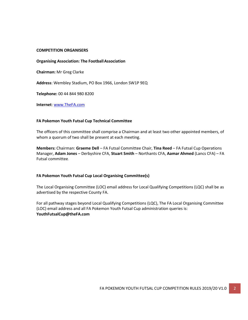#### **COMPETITION ORGANISERS**

#### **Organising Association: The FootballAssociation**

**Chairman:** Mr Greg Clarke

**Address**: Wembley Stadium, PO Box 1966, London SW1P 9EQ

**Telephone:** 00 44 844 980 8200

**Internet**: [www.TheFA.com](http://www.thefa.com/)

#### **FA Pokemon Youth Futsal Cup Technical Committee**

The officers of this committee shall comprise a Chairman and at least two other appointed members, of whom a quorum of two shall be present at each meeting.

**Members:** Chairman: **Graeme Dell** – FA Futsal Committee Chair, **Tina Reed** – FA Futsal Cup Operations Manager, **Adam Jones** – Derbyshire CFA, **Stuart Smith** – Northants CFA, **Aamar Ahmed** (Lancs CFA) – FA Futsal committee*.*

#### **FA Pokemon Youth Futsal Cup Local Organising Committee(s)**

The Local Organising Committee (LOC) email address for Local Qualifying Competitions (LQC) shall be as advertised by the respective County FA.

For all pathway stages beyond Local Qualifying Competitions (LQC), The FA Local Organising Committee (LOC) email address and all FA Pokemon Youth Futsal Cup administration queries is: **YouthFutsalCup@theFA.com**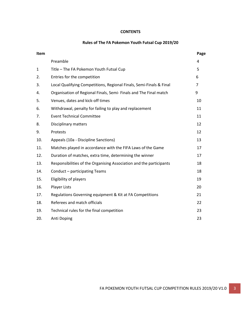#### **CONTENTS**

#### **Rules of The FA Pokemon Youth Futsal Cup 2019/20**

| Item         |                                                                     | Page |
|--------------|---------------------------------------------------------------------|------|
|              | Preamble                                                            | 4    |
| $\mathbf{1}$ | Title - The FA Pokemon Youth Futsal Cup                             | 5    |
| 2.           | Entries for the competition                                         | 6    |
| 3.           | Local Qualifying Competitions, Regional Finals, Semi-Finals & Final | 7    |
| 4.           | Organisation of Regional Finals, Semi-Finals and The Final match    | 9    |
| 5.           | Venues, dates and kick-off times                                    | 10   |
| 6.           | Withdrawal, penalty for failing to play and replacement             | 11   |
| 7.           | <b>Event Technical Committee</b>                                    | 11   |
| 8.           | Disciplinary matters                                                | 12   |
| 9.           | Protests                                                            | 12   |
| 10.          | Appeals (10a - Discipline Sanctions)                                | 13   |
| 11.          | Matches played in accordance with the FIFA Laws of the Game         | 17   |
| 12.          | Duration of matches, extra time, determining the winner             | 17   |
| 13.          | Responsibilities of the Organising Association and the participants | 18   |
| 14.          | Conduct - participating Teams                                       | 18   |
| 15.          | Eligibility of players                                              | 19   |
| 16.          | <b>Player Lists</b>                                                 | 20   |
| 17.          | Regulations Governing equipment & Kit at FA Competitions            | 21   |
| 18.          | Referees and match officials                                        | 22   |
| 19.          | Technical rules for the final competition                           | 23   |
| 20.          | Anti Doping                                                         | 23   |
|              |                                                                     |      |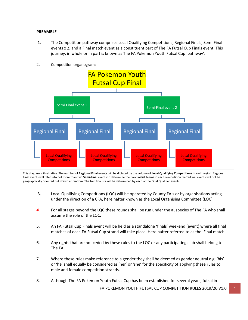#### <span id="page-3-0"></span>**PREAMBLE**

- 1. The Competition pathway comprises Local Qualifying Competitions, Regional Finals, Semi-Final events x 2, and a Final match event as a constituent part of The FA Futsal Cup Finals event. This journey, in whole or in part is known as The FA Pokemon Youth Futsal Cup 'pathway'.
- 2. Competition organogram:



Final events will filter into not more than two **Semi-Final** events to determine the two finalist teams in each competition. Semi-Final events will not be geographically oriented but drawn at random. The two finalists will be determined by each of the Final Qualifier events.<br>. This diagram is illustrative. The number of **Regional Final** events will be dictated by the volume of **Local Qualifying Competitions** in each region. Regional

- 3. Local Qualifying Competitions (LQC) will be operated by County FA's or by organisations acting under the direction of a CFA, hereinafter known as the Local Organising Committee (LOC).
- *4.* For all stages beyond the LQC these rounds shall be run under the auspecies of The FA who shall assume the role of the LOC.
- 5. An FA Futsal Cup Finals event will be held as a standalone 'finals' weekend (event) where all final matches of each FA Futsal Cup strand will take place. Hereinafter referred to as the 'Final match'
- 6. Any rights that are not ceded by these rules to the LOC or any participating club shall belong to The FA.
- 7. Where these rules make reference to a gender they shall be deemed as gender neutral e.g; 'his' or 'he' shall equally be considered as 'her' or 'she' for the specificity of applying these rules to male and female competition strands.
- 8. Although The FA Pokemon Youth Futsal Cup has been established for several years, futsal in

FA POKEMON YOUTH FUTSAL CUP COMPETITION RULES 2019/20 V1.0 4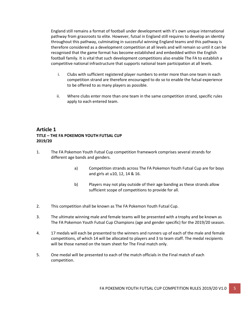England still remains a format of football under development with it's own unique international pathway from grassroots to elite. However, futsal in England still requires to develop an identity throughout this pathway, culminating in successful winning England teams and this pathway is therefore considered as a development competition at all levels and will remain so until it can be recognised that the game format has become established and embedded within the English football family. It is vital that such development competitions also enable The FA to establish a competitive national infrastructure that supports national team participation at all levels.

- i. Clubs with sufficient registered player numbers to enter more than one team in each competition strand are therefore encouraged to do so to enable the futsal experience to be offered to as many players as possible.
- ii. Where clubs enter more than one team in the same competition strand, specific rules apply to each entered team.

# **Article 1 TITLE – THE FA POKEMON YOUTH FUTSAL CUP 2019/20**

- 1. The FA Pokemon Youth Futsal Cup competition framework comprises several strands for different age bands and genders.
	- a) Competition strands across The FA Pokemon Youth Futsal Cup are for boys and girls at u10, 12, 14 & 16.
	- b) Players may not play outside of their age banding as these strands allow sufficient scope of competitions to provide for all.
- 2. This competition shall be known as The FA Pokemon Youth Futsal Cup.
- 3. The ultimate winning male and female teams will be presented with a trophy and be known as The FA Pokemon Youth Futsal Cup Champions (age and gender specific) for the 2019/20 season.
- 4. 17 medals will each be presented to the winners and runners up of each of the male and female competitions, of which 14 will be allocated to players and 3 to team staff. The medal recipients will be those named on the team sheet for The Final match only.
- 5. One medal will be presented to each of the match officials in the Final match of each competition.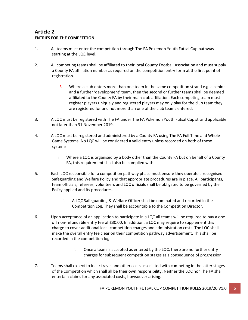# **Article 2 ENTRIES FOR THE COMPETITION**

- 1. All teams must enter the competition through The FA Pokemon Youth Futsal Cup pathway starting at the LQC level.
- 2. All competing teams shall be affiliated to their local County Football Association and must supply a County FA affiliation number as required on the competition entry form at the first point of registration.
	- *i.* Where a club enters more than one team in the same competition strand e.g: a senior and a further 'development' team, then the second or further teams shall be deemed affiliated to the County FA by their main club affiliation. Each competing team must register players uniquely and registered players may only play for the club team they are registered for and not more than one of the club teams entered.
- 3. A LQC must be registered with The FA under The FA Pokemon Youth Futsal Cup strand applicable not later than 31 November 2019.
- 4. A LQC must be registered and administered by a County FA using The FA Full Time and Whole Game Systems. No LQC will be considered a valid entry unless recorded on both of these systems.
	- i. Where a LQC is organised by a body other than the County FA but on behalf of a County FA, this requirement shall also be complied with.
- 5. Each LOC responsible for a competition pathway phase must ensure they operate a recognised Safeguarding and Welfare Policy and that appropriate procedures are in place. All participants, team officials, referees, volunteers and LOC officials shall be obligated to be governed by the Policy applied and its procedures.
	- i. A LQC Safeguarding & Welfare Officer shall be nominated and recorded in the Competition Log. They shall be accountable to the Competition Director.
- 6. Upon acceptance of an application to participate in a LQC all teams will be required to pay a one off non-refundable entry fee of £30.00. In addition, a LOC may require to supplement this charge to cover additional local competition charges and administration costs. The LOC shall make the overall entry fee clear on their competition pathway advertisement. This shall be recorded in the competition log.
	- i. Once a team is accepted as entered by the LOC, there are no further entry charges for subsequent competition stages as a consequence of progression.
- 7. Teams shall expect to incur travel and other costs associated with competing in the latter stages of the Competition which shall all be their own responsibility. Neither the LOC nor The FA shall entertain claims for any associated costs, howsoever arising.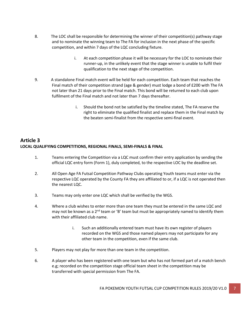- 8. The LOC shall be responsible for determining the winner of their competition(s) pathway stage and to nominate the winning team to The FA for inclusion in the next phase of the specific competition, and within 7 days of the LQC concluding fixture.
	- i. At each competition phase it will be necessary for the LOC to nominate their runner-up, in the unlikely event that the stage winner is unable to fulfil their qualification to the next stage of the competition.
- 9. A standalone Final match event will be held for each competition. Each team that reaches the Final match of their competition strand (age & gender) must lodge a bond of £200 with The FA not later than 21 days prior to the Final match. This bond will be returned to each club upon fulfilment of the Final match and not later than 7 days thereafter.
	- i. Should the bond not be satisfied by the timeline stated, The FA reserve the right to eliminate the qualified finalist and replace them in the Final match by the beaten semi-finalist from the respective semi-final event.

# **Article 3 LOCAL QUALIFYING COMPETITIONS, REGIONAL FINALS, SEMI-FINALS & FINAL**

- 1. Teams entering the Competition via a LQC must confirm their entry application by sending the official LQC entry form (Form 1), duly completed, to the respective LOC by the deadline set.
- 2. All Open Age FA Futsal Competition Pathway Clubs operating Youth teams must enter via the respective LQC operated by the County FA they are affiliated to or, if a LQC is not operated then the nearest LQC.
- 3. Teams may only enter one LQC which shall be verified by the WGS.
- 4. Where a club wishes to enter more than one team they must be entered in the same LQC and may not be known as a 2<sup>nd</sup> team or 'B' team but must be appropriately named to identify them with their affiliated club name.
	- i. Such an additionally entered team must have its own register of players recorded on the WGS and those named players may not participate for any other team in the competition, even if the same club.
- 5. Players may not play for more than one team in the competition.
- 6. A player who has been registered with one team but who has not formed part of a match bench e.g; recorded on the competition stage official team sheet in the competition may be transferred with special permission from The FA.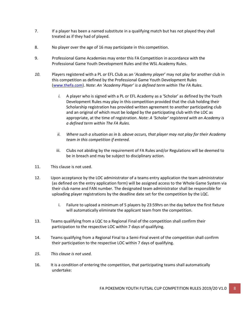- 7. If a player has been a named substitute in a qualifying match but has not played they shall treated as if they had of played.
- 8. No player over the age of 16 may participate in this competition.
- 9. Professional Game Academies may enter this FA Competition in accordance with the Professional Game Youth Development Rules and the WSL Academy Rules.
- *10.* Players registered with a PL or EFL Club as an '*Academy player*' may not play for another club in this competition as defined by the Professional Game Youth Development Rules [\(www.thefa.com\)](http://www.thefa.com/). *Note: An 'Academy Player' is a defined term within The FA Rules.*
	- *i.* A player who is signed with a PL or EFL Academy as a 'Scholar' as defined by the Youth Development Rules may play in this competition provided that the club holding their Scholarship registration has provided written agreement to another participating club and an original of which must be lodged by the participating club with the LOC as appropriate, at the time of registration. *Note: A 'Scholar' registered with an Academy is a defined term within The FA Rules.*
	- *ii. Where such a situation as in b. above occurs, that player may not play for their Academy team in this competition if entered.*
	- iii. Clubs not abiding by the requirement of FA Rules and/or Regulations will be deemed to be in breach and may be subject to disciplinary action.
- 11. This clause is not used.
- 12. Upon acceptance by the LOC administrator of a teams entry application the team administrator (as defined on the entry application form) will be assigned access to the Whole Game System via their club name and FAN number. The designated team administrator shall be responsible for uploading player registrations by the deadline date set for the competition by the LQC.
	- i. Failure to upload a minimum of 5 players by 23:59hrs on the day before the first fixture will automatically eliminate the applicant team from the competition.
- 13. Teams qualifying from a LQC to a Regional Final of the competition shall confirm their participation to the respective LOC within 7 days of qualifying.
- 14. Teams qualifying from a Regional Final to a Semi-Final event of the competition shall confirm their participation to the respective LOC within 7 days of qualifying.
- *15. This clause is not used.*
- 16. It is a condition of entering the competition, that participating teams shall automatically undertake: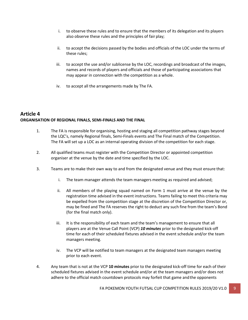- i. to observe these rules and to ensure that the members of its delegation and its players also observe these rules and the principles of fair play;
- ii. to accept the decisions passed by the bodies and officials of the LOC under the terms of these rules;
- iii. to accept the use and/or sublicense by the LOC, recordings and broadcast of the images, names and records of players and officials and those of participating associations that may appear in connection with the competition as a whole.
- iv. to accept all the arrangements made by The FA.

# **Article 4 ORGANISATION OF REGIONAL FINALS, SEMI-FINALS AND THE FINAL**

- 1. The FA is responsible for organising, hosting and staging all competition pathway stages beyond the LQC's, namely Regional finals, Semi-Finals events and The Final match of the Competition. The FA will set up a LOC as an internal operating division of the competition for each stage.
- 2. All qualified teams must register with the Competition Director or appointed competition organiser at the venue by the date and time specified by the LOC.
- 3. Teams are to make their own way to and from the designated venue and they must ensure that:
	- i. The team manager attends the team managers meeting as required and advised;
	- ii. All members of the playing squad named on Form 1 must arrive at the venue by the registration time advised in the event instructions. Teams failing to meet this criteria may be expelled from the competition stage at the discretion of the Competition Director or, may be fined and The FA reserves the right to deduct any such fine from the team's Bond (for the final match only).
	- iii. It is the responsibility of each team and the team's management to ensure that all players are at the Venue Call Point (VCP) *10 minutes* prior to the designated kick-off time for each of their scheduled fixtures advised in the event schedule and/or the team managers meeting.
	- iv. The VCP will be notified to team managers at the designated team managers meeting prior to each event.
- 4. Any team that is not at the VCP **10 minutes** prior to the designated kick-off time for each of their scheduled fixtures advised in the event schedule and/or at the team managers and/or does not adhere to the official match countdown protocols may forfeit that game andthe opponents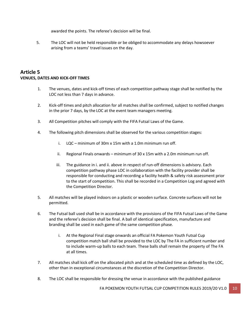awarded the points. The referee's decision will be final.

5. The LOC will not be held responsible or be obliged to accommodate any delays howsoever arising from a teams' travel issues on the day.

# **Article 5 VENUES, DATES AND KICK-OFF TIMES**

- 1. The venues, dates and kick-off times of each competition pathway stage shall be notified by the LOC not less than 7 days in advance.
- 2. Kick-off times and pitch allocation for all matches shall be confirmed, subject to notified changes in the prior 7 days, by the LOC at the event team managers meeting.
- 3. All Competition pitches will comply with the FIFA Futsal Laws of the Game.
- 4. The following pitch dimensions shall be observed for the various competition stages:
	- i. LQC minimum of 30m x 15m with a 1.0m minimum run off.
	- ii. Regional Finals onwards minimum of 30 x 15m with a 2.0m minimum run off.
	- iii. The guidance in i. and ii. above in respect of run-off dimensions is advisory. Each competition pathway phase LOC in collaboration with the facility provider shall be responsible for conducting and recording a facility health & safety risk assessment prior to the start of competition. This shall be recorded in a Competition Log and agreed with the Competition Director.
- 5. All matches will be played indoors on a plastic or wooden surface. Concrete surfaces will not be permitted.
- 6. The Futsal ball used shall be in accordance with the provisions of the FIFA Futsal Laws of the Game and the referee's decision shall be final. A ball of identical specification, manufacture and branding shall be used in each game of the same competition phase.
	- i. At the Regional Final stage onwards an official FA Pokemon Youth Futsal Cup competition match ball shall be provided to the LOC by The FA in sufficient number and to include warm-up balls to each team. These balls shall remain the property of The FA at all times.
- 7. All matches shall kick off on the allocated pitch and at the scheduled time as defined by the LOC, other than in exceptional circumstances at the discretion of the Competition Director.
- 8. The LOC shall be responsible for dressing the venue in accordance with the published guidance

FA POKEMON YOUTH FUTSAL CUP COMPETITION RULES 2019/20 V1.0 10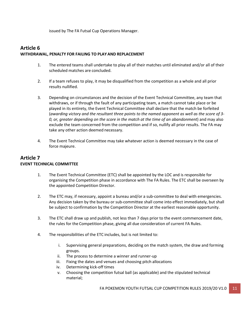issued by The FA Futsal Cup Operations Manager.

# <span id="page-10-0"></span>**Article 6 WITHDRAWAL, PENALTY FOR FAILING TO PLAYAND REPLACEMENT**

- 1. The entered teams shall undertake to play all of their matches until eliminated and/or all of their scheduled matches are concluded.
- 2. If a team refuses to play, it may be disqualified from the competition as a whole and all prior results nullified.
- 3. Depending on circumstances and the decision of the Event Technical Committee, any team that withdraws, or if through the fault of any participating team, a match cannot take place or be played in its entirety, the Event Technical Committee shall declare that the match be forfeited (*awarding victory and the resultant three points to the named opponent as well as the score of 3- 0, or, greater depending on the score in the match at the time of an abandonment*) and may also exclude the team concerned from the competition and if so, nullify all prior results. The FA may take any other action deemed necessary.
- 4. The Event Technical Committee may take whatever action is deemed necessary in the case of force majeure.

#### **Article 7 EVENT TECHNICAL COMMITTEE**

- 1. The Event Technical Committee (ETC) shall be appointed by the LOC and is responsible for organising the Competition phase in accordance with The FA Rules. The ETC shall be overseen by the appointed Competition Director.
- 2. The ETC may, if necessary, appoint a bureau and/or a sub-committee to deal with emergencies. Any decision taken by the bureau or sub-committee shall come into effect immediately, but shall be subject to confirmation by the Competition Director at the earliest reasonable opportunity.
- 3. The ETC shall draw up and publish, not less than 7 days prior to the event commencement date, the rules for the Competition phase, giving all due consideration of current FA Rules.
- 4. The responsibilities of the ETC includes, but is not limited to:
	- i. Supervising general preparations, deciding on the match system, the draw and forming groups.
	- ii. The process to determine a winner and runner-up
	- iii. Fixing the dates and venues and choosing pitch allocations
	- iv. Determining kick-off times
	- v. Choosing the competition futsal ball (as applicable) and the stipulated technical material;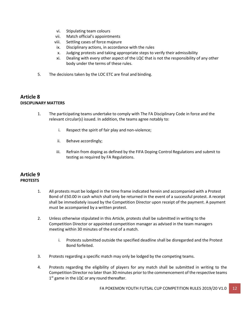- vi. Stipulating team colours
- vii. Match official's appointments
- viii. Settling cases of force majeure
- ix. Disciplinary actions, in accordance with the rules
- x. Judging protests and taking appropriate steps to verify their admissibility
- xi. Dealing with every other aspect of the LQC that is not the responsibility of any other body under the terms of these rules.
- 5. The decisions taken by the LOC ETC are final and binding.

# **Article 8 DISCIPLINARY MATTERS**

- 1. The participating teams undertake to comply with The FA Disciplinary Code in force and the relevant circular(s) issued. In addition, the teams agree notably to:
	- i. Respect the spirit of fair play and non-violence;
	- ii. Behave accordingly;
	- iii. Refrain from doping as defined by the FIFA Doping Control Regulations and submit to testing as required by FA Regulations.

# **Article 9 PROTESTS**

- 1. All protests must be lodged in the time frame indicated herein and accompanied with a Protest Bond of £50.00 in cash which shall only be returned in the event of a successful protest. A receipt shall be immediately issued by the Competition Director upon receipt of the payment. A payment must be accompanied by a written protest.
- 2. Unless otherwise stipulated in this Article, protests shall be submitted in writing to the Competition Director or appointed competition manager as advised in the team managers meeting within 30 minutes of the end of a match.
	- i. Protests submitted outside the specified deadline shall be disregarded and the Protest Bond forfeited.
- 3. Protests regarding a specific match may only be lodged by the competing teams.
- 4. Protests regarding the eligibility of players for any match shall be submitted in writing to the Competition Director no later than 30 minutes prior to the commencement of the respective teams 1<sup>st</sup> game in the LQC or any round thereafter.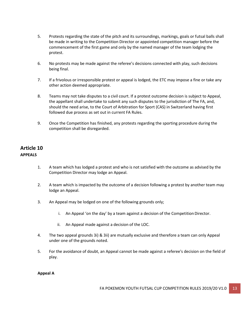- 5. Protests regarding the state of the pitch and its surroundings, markings, goals or futsal balls shall be made in writing to the Competition Director or appointed competition manager before the commencement of the first game and only by the named manager of the team lodging the protest.
- 6. No protests may be made against the referee's decisions connected with play, such decisions being final.
- 7. If a frivolous or irresponsible protest or appeal is lodged, the ETC may impose a fine or take any other action deemed appropriate.
- 8. Teams may not take disputes to a civil court. If a protest outcome decision is subject to Appeal, the appellant shall undertake to submit any such disputes to the jurisdiction of The FA, and, should the need arise, to the Court of Arbitration for Sport (CAS) in Switzerland having first followed due process as set out in current FA Rules.
- 9. Once the Competition has finished, any protests regarding the sporting procedure during the competition shall be disregarded.

# **Article 10 APPEALS**

- 1. A team which has lodged a protest and who is not satisfied with the outcome as advised by the Competition Director may lodge an Appeal.
- 2. A team which is impacted by the outcome of a decision following a protest by another team may lodge an Appeal.
- 3. An Appeal may be lodged on one of the following grounds only;
	- i. An Appeal 'on the day' by a team against a decision of the Competition Director.
	- ii. An Appeal made against a decision of the LOC.
- 4. The two appeal grounds 3i) & 3ii) are mutually exclusive and therefore a team can only Appeal under one of the grounds noted.
- 5. For the avoidance of doubt, an Appeal cannot be made against a referee's decision on the field of play.

#### **Appeal A**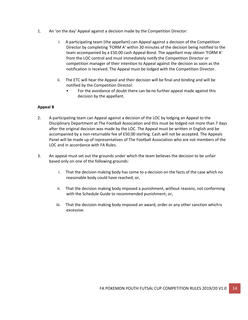- 1. An 'on the day' Appeal against a decision made by the Competition Director:
	- i. A participating team (the appellant) can Appeal against a decision of the Competition Director by completing 'FORM A' within 30 minutes of the decision being notified to the team accompanied by a £50.00 cash Appeal Bond. The appellant may obtain 'FORM A' from the LOC control and must immediately notify the Competition Director or competition manager of their intention to Appeal against the decision as soon as the notification is received. The Appeal must be lodged with the Competition Director.
	- ii. The ETC will hear the Appeal and their decision will be final and binding and will be notified by the Competition Director.
		- For the avoidance of doubt there can beno further appeal made against this decision by the appellant.

#### **Appeal B**

- 2. A participating team can Appeal against a decision of the LOC by lodging an Appeal to the Disciplinary Department at The Football Association and this must be lodged not more than 7 days after the original decision was made by the LOC. The Appeal must be written in English and be accompanied by a non-returnable fee of £50.00 sterling. Cash will not be accepted. The Appeals Panel will be made up of representatives of The Football Association who are not members of the LOC and in accordance with FA Rules.
- 3. An appeal must set out the grounds under which the team believes the decision to be unfair based only on one of the following grounds:
	- i. That the decision making body has come to a decision on the facts of the case which no reasonable body could have reached; or,
	- ii. That the decision making body imposed a punishment, without reasons, not conforming with the Schedule Guide to recommended punishment; or,
	- iii. That the decision making body imposed an award, order or any other sanction whichis excessive.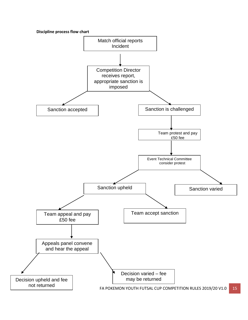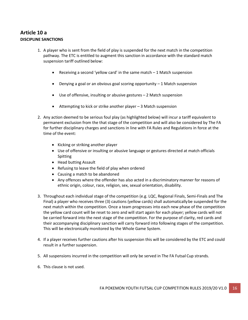# **Article 10 a DISCIPLINE SANCTIONS**

- 1. A player who is sent from the field of play is suspended for the next match in the competition pathway. The ETC is entitled to augment this sanction in accordance with the standard match suspension tariff outlined below:
	- Receiving a second 'yellow card' in the same match 1 Match suspension
	- Denying a goal or an obvious goal scoring opportunity 1 Match suspension
	- Use of offensive, insulting or abusive gestures 2 Match suspension
	- Attempting to kick or strike another player 3 Match suspension
- 2. Any action deemed to be serious foul play (as highlighted below) will incur a tariff equivalent to permanent exclusion from the that stage of the competition and will also be considered by The FA for further disciplinary charges and sanctions in line with FA Rules and Regulations in force at the time of the event:
	- Kicking or striking another player
	- Use of offensive or insulting or abusive language or gestures directed at match officials Spitting
	- Head butting Assault
	- Refusing to leave the field of play when ordered
	- Causing a match to be abandoned
	- Any offences where the offender has also acted in a discriminatory manner for reasons of ethnic origin, colour, race, religion, sex, sexual orientation, disability.
- 3. Throughout each individual stage of the competition (e.g. LQC, Regional Finals, Semi-Finals and The Final) a player who receives three (3) cautions (yellow cards) shall automaticallybe suspended for the next match within the competition. Once a team progresses into each new phase of the competition the yellow card count will be reset to zero and will start again for each player; yellow cards will not be carried forward into the next stage of the competition. For the purpose of clarity, red cards and their accompanying disciplinary sanction will carry forward into following stages of the competition. This will be electronically monitored by the Whole Game System.
- 4. If a player receives further cautions after his suspension this will be considered by the ETC and could result in a further suspension.
- 5. All suspensions incurred in the competition will only be served in The FA Futsal Cup strands.
- 6. This clause is not used.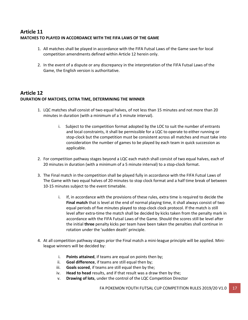# **Article 11 MATCHES TO PLAYED IN ACCORDANCE WITH THE FIFA LAWS OF THE GAME**

- 1. All matches shall be played in accordance with the FIFA Futsal Laws of the Game save for local competition amendments defined within Article 12 herein only.
- 2. In the event of a dispute or any discrepancy in the interpretation of the FIFA Futsal Laws of the Game, the English version is authoritative.

# **Article 12 DURATION OF MATCHES, EXTRA TIME, DETERMINING THE WINNER**

- 1. LQC matches shall consist of two equal halves, of not less than 15 minutes and not more than 20 minutes in duration (with a minimum of a 5 minute interval).
	- i. Subject to the competition format adopted by the LOC to suit the number of entrants and local constraints, it shall be permissible for a LQC to operate to either running or stop-clock but the competition must be consistent across all matches and must take into consideration the number of games to be played by each team in quick succession as applicable.
- 2. For competition pathway stages beyond a LQC each match shall consist of two equal halves, each of 20 minutes in duration (with a minimum of a 5 minute interval) to a stop-clock format.
- 3. The Final match in the competition shall be played fully in accordance with the FIFA Futsal Laws of The Game with two equal halves of 20 minutes to stop clock format and a half time break of between 10-15 minutes subject to the event timetable.
	- i. If, in accordance with the provisions of these rules, extra time is required to decide the **Final match** that is level at the end of normal playing time, it shall always consist of two equal periods of five minutes played to stop-clock clock protocol. If the match is still level after extra-time the match shall be decided by kicks taken from the penalty mark in accordance with the FIFA Futsal Laws of the Game. Should the scores still be level after the initial **three** penalty kicks per team have been taken the penalties shall continue in rotation under the 'sudden death' principle.
- 4. At all competition pathway stages prior the Final match a mini-league principle will be applied. Minileague winners will be decided by:
	- i. **Points attained**, if teams are equal on points then by;
	- ii. **Goal difference**, if teams are still equal then by;
	- iii. **Goals scored**, if teams are still equal then by the;
	- iv. **Head to head** results, and if that result was a draw then by the;
	- v. **Drawing of lots**, under the control of the LQC Competition Director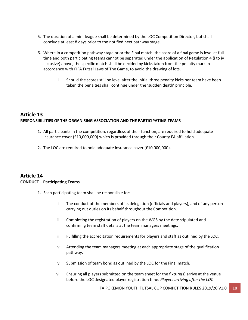- 5. The duration of a mini-league shall be determined by the LQC Competition Director, but shall conclude at least 8 days prior to the notified next pathway stage.
- 6. Where in a competition pathway stage prior the Final match, the score of a final game is level at fulltime and both participating teams cannot be separated under the application of Regulation 4 (i to iv inclusive) above, the specific match shall be decided by kicks taken from the penalty mark in accordance with FIFA Futsal Laws of The Game, to avoid the drawing of lots.
	- i. Should the scores still be level after the initial three penalty kicks per team have been taken the penalties shall continue under the 'sudden death' principle.

# **Article 13 RESPONSIBILITIES OF THE ORGANISING ASSOCIATION AND THE PARTICIPATING TEAMS**

- 1. All participants in the competition, regardless of their function, are required to hold adequate insurance cover (£10,000,000) which is provided through their County FA affiliation.
- 2. The LOC are required to hold adequate insurance cover (£10,000,000).

# **Article 14 CONDUCT – Participating Teams**

- 1. Each participating team shall be responsible for:
	- i. The conduct of the members of its delegation (officials and players), and of any person carrying out duties on its behalf throughout the Competition.
	- ii. Completing the registration of players on the WGS by the date stipulated and confirming team staff details at the team managers meetings.
	- iii. Fulfilling the accreditation requirements for players and staff as outlined by the LOC.
	- iv. Attending the team managers meeting at each appropriate stage of the qualification pathway.
	- v. Submission of team bond as outlined by the LOC for the Final match.
	- vi. Ensuring all players submitted on the team sheet for the fixture(s) arrive at the venue before the LOC designated player registration time. *Players arriving after the LOC*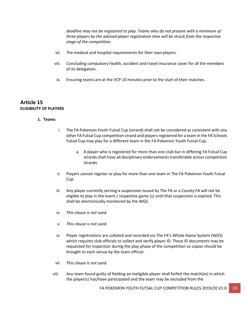*deadline may not be registered to play. Teams who do not present with a minimum of three players by the advised player registration time will be struck from the respective stage of the competition.*

- vii. The medical and hospital requirements for their own players.
- viii. Concluding compulsory health, accident and travel insurance cover for all the members of its delegation.
- ix. Ensuring teams are at the VCP 10 minutes prior to the start of their matches.

# **Article 15 ELIGIBILITY OF PLAYERS**

#### **1. Teams**

- i. The FA Pokemon Youth Futsal Cup (strand) shall not be considered as consistent with any other FA Futsal Cup competition strand and players registered for a team in the FA Schools Futsal Cup may play for a different team in the FA Pokemon Youth Futsal Cup.
	- a. A player who is registered for more than one club but in differing FA Futsal Cup strands shall have all disciplinary endorsements transferable across competition strands.
- ii. Players cannot register or play for more than one team in The FA Pokemon Youth Futsal Cup.
- iii. Any player currently serving a suspension issued by The FA or a County FA will not be eligible to play in the event / respective game (s) until that suspension is expired. This shall be electronically monitored by the WGS.
- iv. *This clause is not used*.
- v. *This clause is not used*.
- vi. Player registrations are collated and recorded via The FA's Whole Game System (WGS) which requires club officials to collect and verify player ID. These ID documents may be requested for inspection during the play phase of the competition so copies should be brought to each venue by the team official.
- vii. *This clause is not used*.
- viii. Any team found guilty of fielding an ineligible player shall forfeit the match(es) in which the player(s) has/have participated and the team may be excluded from the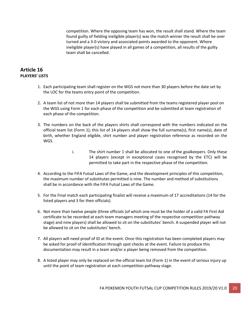competition. Where the opposing team has won, the result shall stand. Where the team found guilty of fielding ineligible player(s) was the match winner the result shall be over turned and a 3-0 victory and associated points awarded to the opponent. Where ineligible player(s) have played in all games of a competition, all results of the guilty team shall be cancelled.

# **Article 16 PLAYERS' LISTS**

- 1. Each participating team shall register on the WGS not more than 30 players before the date set by the LOC for the teams entry point of the competition.
- 2. A team list of not more than 14 players shall be submitted from the teams registered player pool on the WGS using Form 1 for each phase of the competition and be submitted at team registration of each phase of the competition.
- 3. The numbers on the back of the players shirts shall correspond with the numbers indicated on the official team list (Form 1); this list of 14 players shall show the full surname(s), first name(s), date of birth, whether England eligible, shirt number and player registration reference as recorded on the WGS.
	- i. The shirt number 1 shall be allocated to one of the goalkeepers. Only these 14 players (except in exceptional cases recognised by the ETC) will be permitted to take part in the respective phase of the competition.
- 4. According to the FIFA Futsal Laws of the Game, and the development principles of this competition, the maximum number of substitutes permitted is nine. The number and method of substitutions shall be in accordance with the FIFA Futsal Laws of the Game.
- 5. For the Final match each participating finalist will receive a maximum of 17 accreditations (14 for the listed players and 3 for their officials).
- 6. Not more than twelve people (three officials (of which one must be the holder of a valid FA First Aid certificate to be recorded at each team managers meeting of the respective competition pathway stage) and nine players) shall be allowed to sit on the substitutes' bench. A suspended player will not be allowed to sit on the substitutes' bench.
- 7. All players will need proof of ID at the event. Once this registration has been completed players may be asked for proof of identification through spot checks at the event. Failure to produce this documentation may result in a team and/or a player being removed from the competition.
- 8. A listed player may only be replaced on the official team list (Form 1) in the event of serious injury up until the point of team registration at each competition pathway stage.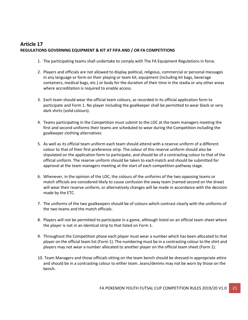# **Article 17 REGULATIONS GOVERNING EQUIPMENT & KIT AT FIFA AND / OR FA COMPETITIONS**

- 1. The participating teams shall undertake to comply with The FA Equipment Regulations in force.
- 2. Players and officials are not allowed to display political, religious, commercial or personal messages in any language or form on their playing or team kit, equipment (including kit bags, beverage containers, medical bags, etc.) or body for the duration of their time in the stadia or any other areas where accreditation is required to enable access.
- 3. Each team should wear the official team colours, as recorded in its official application form to participate and Form 1. No player including the goalkeeper shall be permitted to wear black or very dark shirts (solid colours).
- 4. Teams participating in the Competition must submit to the LOC at the team managers meeting the first and second uniforms their teams are scheduled to wear during the Competition including the goalkeeper clothing alternatives
- 5. As well as its official team uniform each team should attend with a reserve uniform of a different colour to that of their first preference strip. The colour of this reserve uniform should also be stipulated on the application form to participate, and should be of a contrasting colour to that of the official uniform. The reserve uniform should be taken to eachmatch and should be submitted for approval at the team managers meeting at the start of each competition pathway stage.
- 6. Whenever, in the opinion of the LOC, the colours of the uniforms of the two opposing teams or match officials are considered likely to cause confusion the away team (named second on the draw) will wear their reserve uniform, or alternatively changes will be made in accordance with the decision made by the ETC.
- 7. The uniforms of the two goalkeepers should be of colours which contrast clearly with the uniforms of the two teams and the match officials.
- 8. Players will not be permitted to participate in a game, although listed on an official team sheet where the player is not in an identical strip to that listed on Form 1.
- 9. Throughout the Competition phase each player must wear a number which has been allocated to that player on the official team list (Form 1). The numbering must be in a contrasting colour to the shirt and players may not wear a number allocated to another player on the official team sheet (Form 1).
- 10. Team Managers and those officials sitting on the team bench should be dressed in appropriate attire and should be in a contrasting colour to either team. Jeans/denims may not be worn by those on the bench.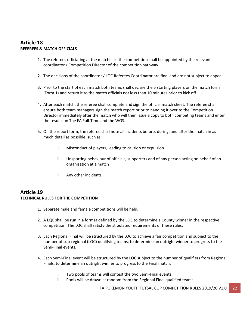# **Article 18 REFEREES & MATCH OFFICIALS**

- 1. The referees officiating at the matches in the competition shall be appointed by the relevant coordinator / Competition Director of the competition pathway.
- 2. The decisions of the coordinator / LOC Referees Coordinator are final and are not subject to appeal.
- 3. Prior to the start of each match both teams shall declare the 5 starting players on the match form (Form 1) and return it to the match officials not less than 10 minutes prior to kick off.
- 4. After each match, the referee shall complete and sign the official match sheet. The referee shall ensure both team managers sign the match report prior to handing it over to the Competition Director immediately after the match who will then issue a copy to both competing teams and enter the results on The FA Full-Time and the WGS.
- 5. On the report form, the referee shall note all incidents before, during, and after the match in as much detail as possible, such as:
	- i. Misconduct of players, leading to caution or expulsion
	- ii. Unsporting behaviour of officials, supporters and of any person acting on behalf of an organisation at a match
	- iii. Any other incidents

# **Article 19 TECHNICAL RULES FOR THE COMPETITION**

- 1. Separate male and female competitions will be held.
- 2. A LQC shall be run in a format defined by the LOC to determine a County winner in the respective competition. The LQC shall satisfy the stipulated requirements of these rules.
- 3. Each Regional Final will be structured by the LOC to achieve a fair competition and subject to the number of sub-regional (LQC) qualifying teams, to determine an outright winner to progress to the Semi-Final events.
- 4. Each Semi-Final event will be structured by the LOC subject to the number of qualifiers from Regional Finals, to determine an outright winner to progress to the Final match.
	- i. Two pools of teams will contest the two Semi-Final events.
	- ii. Pools will be drawn at random from the Regional Final qualified teams.